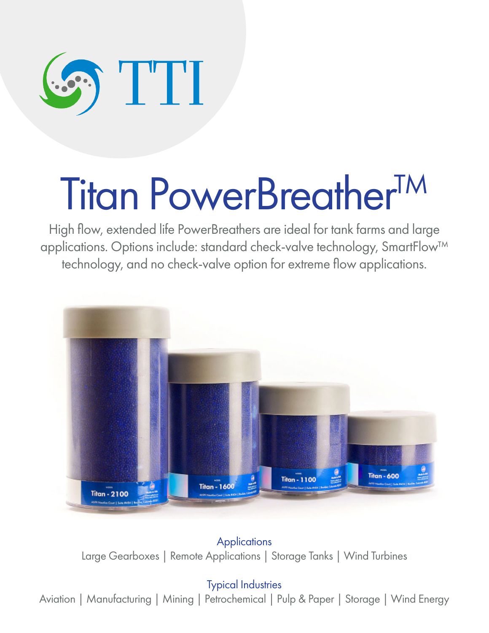

# Titan PowerBreather<sup>TM</sup>

High flow, extended life PowerBreathers are ideal for tank farms and large applications. Options include: standard check-valve technology, SmartFlow™ technology, and no check-valve option for extreme flow applications.



**Applications** Large Gearboxes | Remote Applications | Storage Tanks | Wind Turbines

### Typical Industries

Aviation | Manufacturing | Mining | Petrochemical | Pulp & Paper | Storage | Wind Energy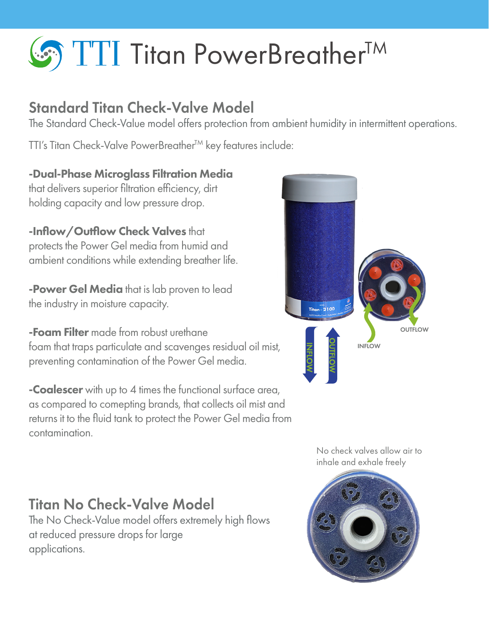# **S** TTI Titan PowerBreather<sup>TM</sup>

# Standard Titan Check-Valve Model

The Standard Check-Value model offers protection from ambient humidity in intermittent operations.

TTI's Titan Check-Valve PowerBreather™ key features include:

-Dual-Phase Microglass Filtration Media that delivers superior filtration efficiency, dirt holding capacity and low pressure drop.

-Inflow/Outflow Check Valves that protects the Power Gel media from humid and ambient conditions while extending breather life.

**-Power Gel Media** that is lab proven to lead the industry in moisture capacity.

**-Foam Filter** made from robust urethane foam that traps particulate and scavenges residual oil mist, preventing contamination of the Power Gel media.

**-Coalescer** with up to 4 times the functional surface area, as compared to comepting brands, that collects oil mist and returns it to the fluid tank to protect the Power Gel media from contamination.



No check valves allow air to inhale and exhale freely



# Titan No Check-Valve Model

The No Check-Value model offers extremely high flows at reduced pressure drops for large applications.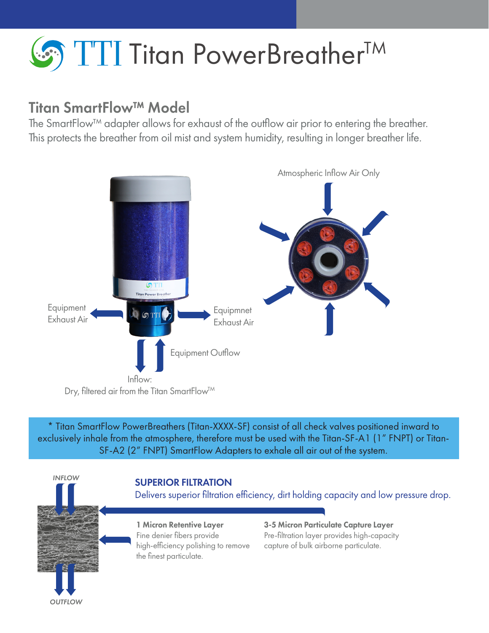# **So TTI Titan PowerBreatherTM**

## Titan SmartFlow™ Model

The SmartFlow™ adapter allows for exhaust of the outflow air prior to entering the breather. This protects the breather from oil mist and system humidity, resulting in longer breather life.



\* Titan SmartFlow PowerBreathers (Titan-XXXX-SF) consist of all check valves positioned inward to exclusively inhale from the atmosphere, therefore must be used with the Titan-SF-A1 (1" FNPT) or Titan-SF-A2 (2" FNPT) SmartFlow Adapters to exhale all air out of the system.



#### SUPERIOR FILTRATION

Delivers superior filtration efficiency, dirt holding capacity and low pressure drop.

1 Micron Retentive Layer Fine denier fibers provide high-efficiency polishing to remove the finest particulate.

3-5 Micron Particulate Capture Layer Pre-filtration layer provides high-capacity capture of bulk airborne particulate.